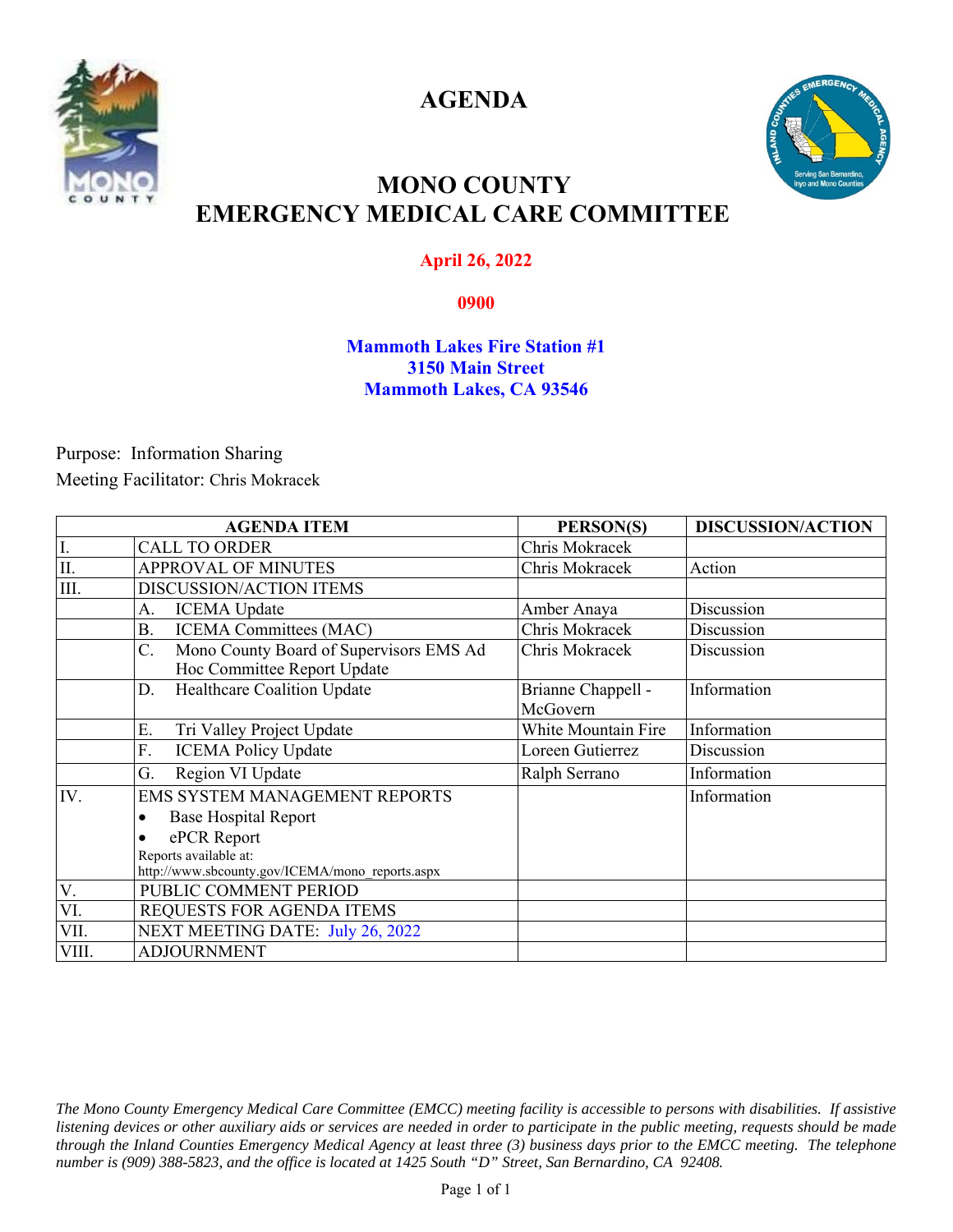

**AGENDA** 



## **MONO COUNTY EMERGENCY MEDICAL CARE COMMITTEE**

### **April 26, 2022**

#### **0900**

#### **Mammoth Lakes Fire Station #1 3150 Main Street Mammoth Lakes, CA 93546**

Purpose: Information Sharing Meeting Facilitator: Chris Mokracek

|            | <b>AGENDA ITEM</b>                                                           | PERSON(S)                      | <b>DISCUSSION/ACTION</b> |
|------------|------------------------------------------------------------------------------|--------------------------------|--------------------------|
| I.         | <b>CALL TO ORDER</b>                                                         | Chris Mokracek                 |                          |
| $\rm{II}.$ | <b>APPROVAL OF MINUTES</b>                                                   | Chris Mokracek                 | Action                   |
| III.       | <b>DISCUSSION/ACTION ITEMS</b>                                               |                                |                          |
|            | <b>ICEMA</b> Update<br>А.                                                    | Amber Anaya                    | Discussion               |
|            | <b>ICEMA Committees (MAC)</b><br><b>B.</b>                                   | Chris Mokracek                 | Discussion               |
|            | Mono County Board of Supervisors EMS Ad<br>C.<br>Hoc Committee Report Update | Chris Mokracek                 | Discussion               |
|            | Healthcare Coalition Update<br>D.                                            | Brianne Chappell -<br>McGovern | Information              |
|            | Tri Valley Project Update<br>Ε.                                              | White Mountain Fire            | Information              |
|            | F.<br><b>ICEMA Policy Update</b>                                             | Loreen Gutierrez               | Discussion               |
|            | Region VI Update<br>G.                                                       | Ralph Serrano                  | Information              |
| IV.        | EMS SYSTEM MANAGEMENT REPORTS                                                |                                | Information              |
|            | <b>Base Hospital Report</b><br>$\bullet$                                     |                                |                          |
|            | ePCR Report<br>$\bullet$                                                     |                                |                          |
|            | Reports available at:<br>http://www.sbcounty.gov/ICEMA/mono reports.aspx     |                                |                          |
| V.         | PUBLIC COMMENT PERIOD                                                        |                                |                          |
| VI.        | REQUESTS FOR AGENDA ITEMS                                                    |                                |                          |
| VII.       | NEXT MEETING DATE: July 26, 2022                                             |                                |                          |
| VIII.      | <b>ADJOURNMENT</b>                                                           |                                |                          |

*The Mono County Emergency Medical Care Committee (EMCC) meeting facility is accessible to persons with disabilities. If assistive listening devices or other auxiliary aids or services are needed in order to participate in the public meeting, requests should be made through the Inland Counties Emergency Medical Agency at least three (3) business days prior to the EMCC meeting. The telephone number is (909) 388-5823, and the office is located at 1425 South "D" Street, San Bernardino, CA 92408.*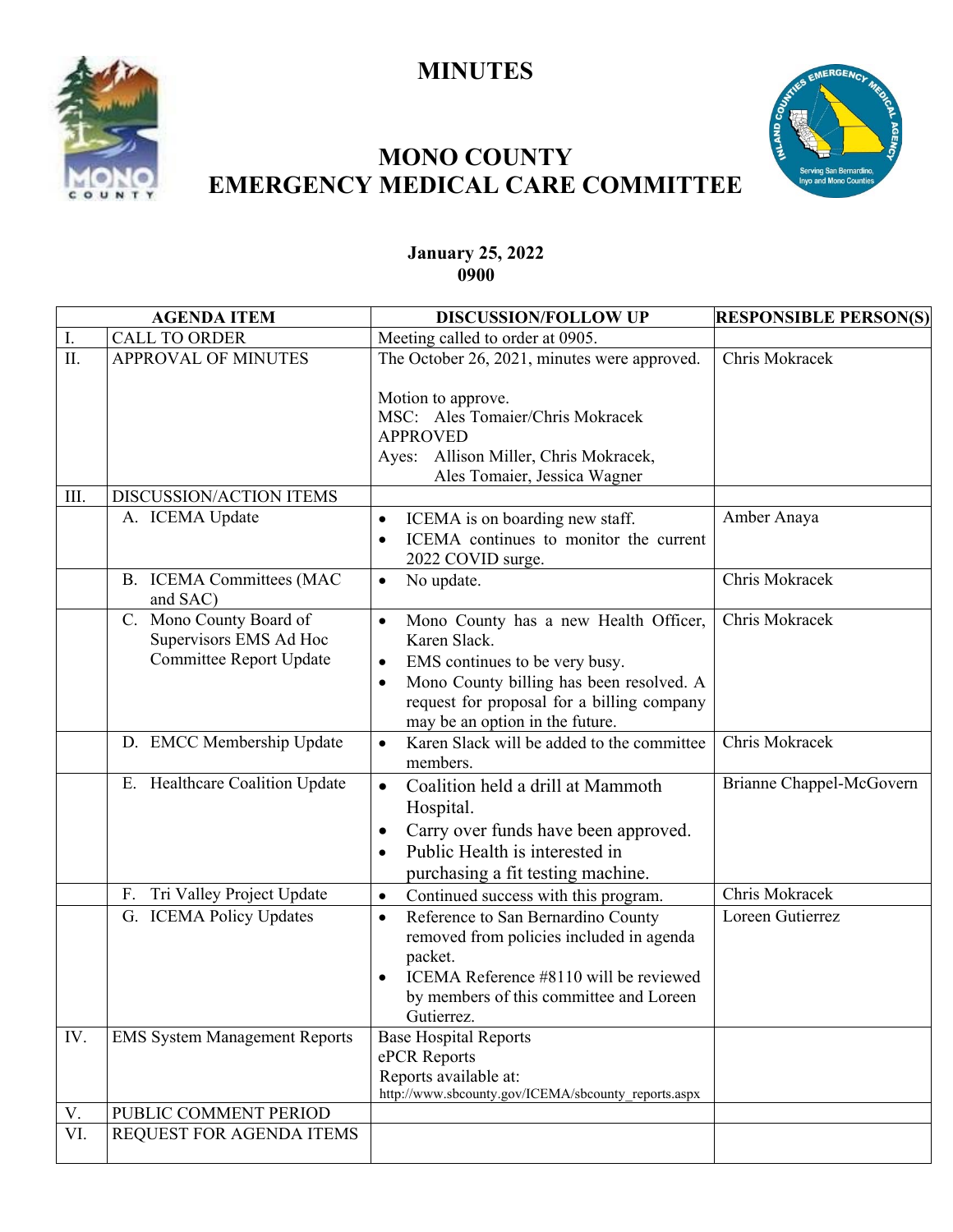# **MINUTES**





# **MONO COUNTY EMERGENCY MEDICAL CARE COMMITTEE**

### **January 25, 2022 0900**

| <b>AGENDA ITEM</b> |                                             | <b>DISCUSSION/FOLLOW UP</b>                                                                            | <b>RESPONSIBLE PERSON(S)</b> |
|--------------------|---------------------------------------------|--------------------------------------------------------------------------------------------------------|------------------------------|
| I.                 | <b>CALL TO ORDER</b>                        | Meeting called to order at 0905.                                                                       |                              |
| II.                | APPROVAL OF MINUTES                         | The October 26, 2021, minutes were approved.                                                           | Chris Mokracek               |
|                    |                                             | Motion to approve.<br>MSC: Ales Tomaier/Chris Mokracek                                                 |                              |
|                    |                                             | <b>APPROVED</b>                                                                                        |                              |
|                    |                                             | Ayes: Allison Miller, Chris Mokracek,                                                                  |                              |
|                    |                                             | Ales Tomaier, Jessica Wagner                                                                           |                              |
| III.               | DISCUSSION/ACTION ITEMS                     |                                                                                                        |                              |
|                    | A. ICEMA Update                             | ICEMA is on boarding new staff.                                                                        | Amber Anaya                  |
|                    |                                             | ICEMA continues to monitor the current<br>2022 COVID surge.                                            |                              |
|                    | <b>B.</b> ICEMA Committees (MAC<br>and SAC) | No update.<br>$\bullet$                                                                                | Chris Mokracek               |
|                    | C. Mono County Board of                     | Mono County has a new Health Officer,                                                                  | Chris Mokracek               |
|                    | Supervisors EMS Ad Hoc                      | Karen Slack.                                                                                           |                              |
|                    | Committee Report Update                     | EMS continues to be very busy.<br>$\bullet$                                                            |                              |
|                    |                                             | Mono County billing has been resolved. A<br>$\bullet$                                                  |                              |
|                    |                                             | request for proposal for a billing company<br>may be an option in the future.                          |                              |
|                    | D. EMCC Membership Update                   | Karen Slack will be added to the committee<br>$\bullet$                                                | Chris Mokracek               |
|                    |                                             | members.                                                                                               |                              |
|                    | E. Healthcare Coalition Update              | Coalition held a drill at Mammoth<br>$\bullet$<br>Hospital.                                            | Brianne Chappel-McGovern     |
|                    |                                             | Carry over funds have been approved.                                                                   |                              |
|                    |                                             | Public Health is interested in<br>$\bullet$                                                            |                              |
|                    |                                             | purchasing a fit testing machine.                                                                      |                              |
|                    | Tri Valley Project Update<br>F.             | Continued success with this program.<br>$\bullet$                                                      | Chris Mokracek               |
|                    | G. ICEMA Policy Updates                     | Reference to San Bernardino County<br>$\bullet$<br>removed from policies included in agenda<br>packet. | Loreen Gutierrez             |
|                    |                                             | ICEMA Reference #8110 will be reviewed                                                                 |                              |
|                    |                                             | by members of this committee and Loreen                                                                |                              |
|                    |                                             | Gutierrez.                                                                                             |                              |
| IV.                | <b>EMS System Management Reports</b>        | <b>Base Hospital Reports</b>                                                                           |                              |
|                    |                                             | ePCR Reports                                                                                           |                              |
|                    |                                             | Reports available at:<br>http://www.sbcounty.gov/ICEMA/sbcounty_reports.aspx                           |                              |
| V.                 | PUBLIC COMMENT PERIOD                       |                                                                                                        |                              |
| VI.                | REQUEST FOR AGENDA ITEMS                    |                                                                                                        |                              |
|                    |                                             |                                                                                                        |                              |